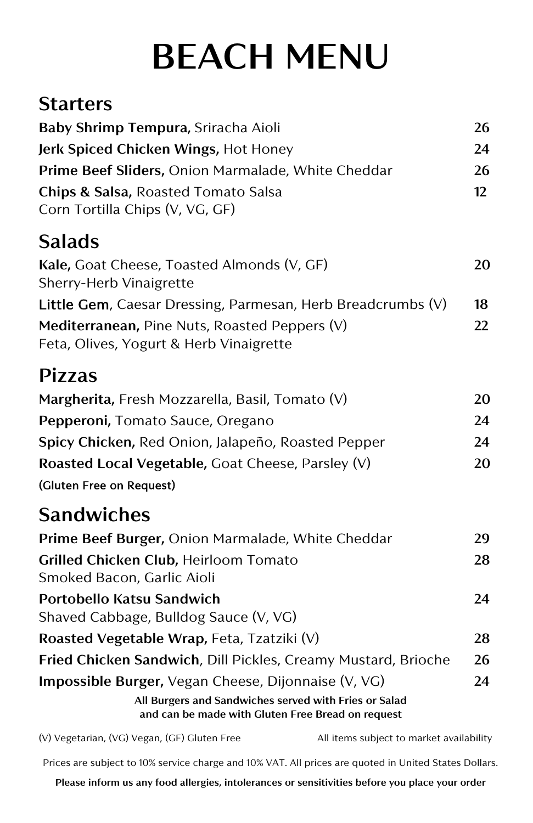# **BEACH MENU**

#### **Starters**

| Baby Shrimp Tempura, Sriracha Aioli                                                                        | 26      |
|------------------------------------------------------------------------------------------------------------|---------|
| Jerk Spiced Chicken Wings, Hot Honey                                                                       | 24      |
| Prime Beef Sliders, Onion Marmalade, White Cheddar                                                         | 26      |
| Chips & Salsa, Roasted Tomato Salsa                                                                        | $12 \,$ |
| Corn Tortilla Chips (V, VG, GF)                                                                            |         |
| <b>Salads</b>                                                                                              |         |
| Kale, Goat Cheese, Toasted Almonds (V, GF)                                                                 | 20      |
| Sherry-Herb Vinaigrette                                                                                    |         |
| Little Gem, Caesar Dressing, Parmesan, Herb Breadcrumbs $(V)$                                              | 18      |
| Mediterranean, Pine Nuts, Roasted Peppers (V)<br>Feta, Olives, Yogurt & Herb Vinaigrette                   | 22      |
| <b>Pizzas</b>                                                                                              |         |
| Margherita, Fresh Mozzarella, Basil, Tomato (V)                                                            | 20      |
| Pepperoni, Tomato Sauce, Oregano                                                                           | 24      |
| Spicy Chicken, Red Onion, Jalapeño, Roasted Pepper                                                         | 24      |
| Roasted Local Vegetable, Goat Cheese, Parsley (V)                                                          | 20      |
| (Gluten Free on Request)                                                                                   |         |
| <b>Sandwiches</b>                                                                                          |         |
| Prime Beef Burger, Onion Marmalade, White Cheddar                                                          | 29      |
| Grilled Chicken Club, Heirloom Tomato<br>Smoked Bacon, Garlic Aioli                                        | 28      |
| Portobello Katsu Sandwich<br>Shaved Cabbage, Bulldog Sauce (V, VG)                                         | 24      |
| Roasted Vegetable Wrap, Feta, Tzatziki (V)                                                                 | 28      |
| Fried Chicken Sandwich, Dill Pickles, Creamy Mustard, Brioche                                              | 26      |
| <b>Impossible Burger, Vegan Cheese, Dijonnaise (V, VG)</b>                                                 | 24      |
| All Burgers and Sandwiches served with Fries or Salad<br>and can be made with Gluten Free Bread on request |         |
| (V) Vegetarian, (VG) Vegan, (GF) Gluten Free<br>All items subject to market availability                   |         |

Prices are subject to 10% service charge and 10% VAT. All prices are quoted in United States Dollars.

**Please inform us any food allergies, intolerances or sensitivities before you place your order**